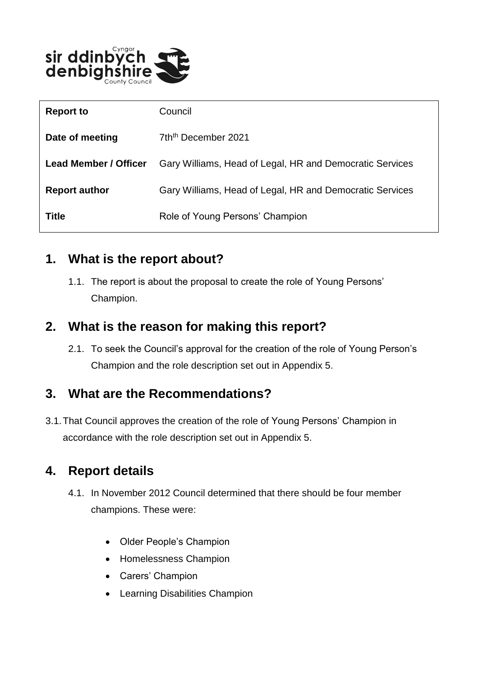

| <b>Report to</b>             | Council                                                  |
|------------------------------|----------------------------------------------------------|
| Date of meeting              | 7th <sup>th</sup> December 2021                          |
| <b>Lead Member / Officer</b> | Gary Williams, Head of Legal, HR and Democratic Services |
| <b>Report author</b>         | Gary Williams, Head of Legal, HR and Democratic Services |
| <b>Title</b>                 | Role of Young Persons' Champion                          |

#### **1. What is the report about?**

1.1. The report is about the proposal to create the role of Young Persons' Champion.

### **2. What is the reason for making this report?**

2.1. To seek the Council's approval for the creation of the role of Young Person's Champion and the role description set out in Appendix 5.

## **3. What are the Recommendations?**

3.1.That Council approves the creation of the role of Young Persons' Champion in accordance with the role description set out in Appendix 5.

## **4. Report details**

- 4.1. In November 2012 Council determined that there should be four member champions. These were:
	- Older People's Champion
	- Homelessness Champion
	- Carers' Champion
	- Learning Disabilities Champion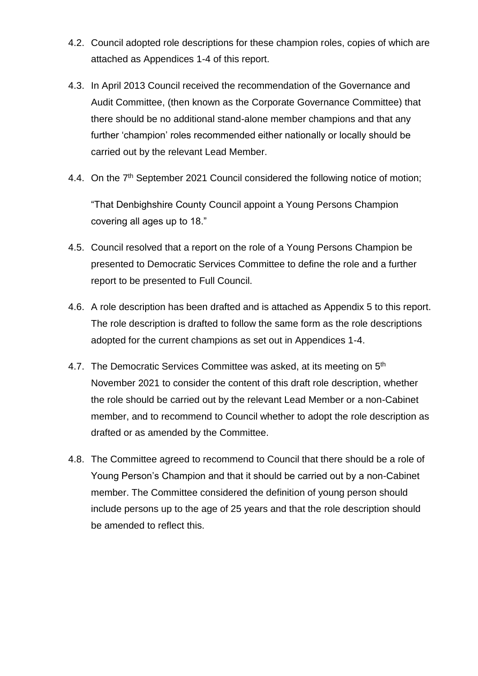- 4.2. Council adopted role descriptions for these champion roles, copies of which are attached as Appendices 1-4 of this report.
- 4.3. In April 2013 Council received the recommendation of the Governance and Audit Committee, (then known as the Corporate Governance Committee) that there should be no additional stand-alone member champions and that any further 'champion' roles recommended either nationally or locally should be carried out by the relevant Lead Member.
- 4.4. On the 7<sup>th</sup> September 2021 Council considered the following notice of motion;

"That Denbighshire County Council appoint a Young Persons Champion covering all ages up to 18."

- 4.5. Council resolved that a report on the role of a Young Persons Champion be presented to Democratic Services Committee to define the role and a further report to be presented to Full Council.
- 4.6. A role description has been drafted and is attached as Appendix 5 to this report. The role description is drafted to follow the same form as the role descriptions adopted for the current champions as set out in Appendices 1-4.
- 4.7. The Democratic Services Committee was asked, at its meeting on 5<sup>th</sup> November 2021 to consider the content of this draft role description, whether the role should be carried out by the relevant Lead Member or a non-Cabinet member, and to recommend to Council whether to adopt the role description as drafted or as amended by the Committee.
- 4.8. The Committee agreed to recommend to Council that there should be a role of Young Person's Champion and that it should be carried out by a non-Cabinet member. The Committee considered the definition of young person should include persons up to the age of 25 years and that the role description should be amended to reflect this.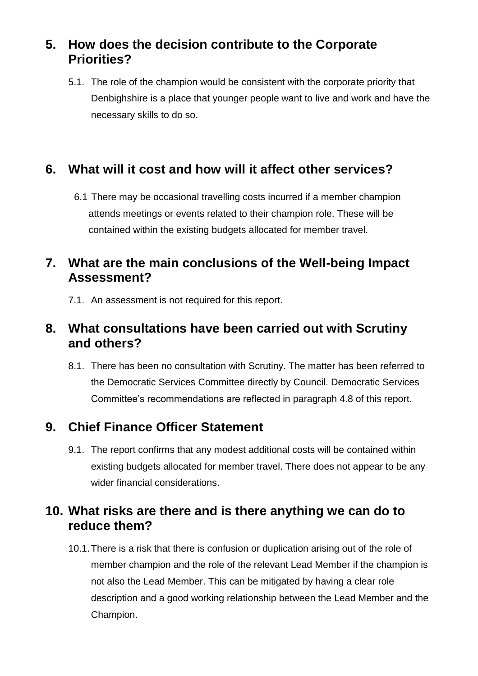## **5. How does the decision contribute to the Corporate Priorities?**

5.1. The role of the champion would be consistent with the corporate priority that Denbighshire is a place that younger people want to live and work and have the necessary skills to do so.

## **6. What will it cost and how will it affect other services?**

6.1 There may be occasional travelling costs incurred if a member champion attends meetings or events related to their champion role. These will be contained within the existing budgets allocated for member travel.

### **7. What are the main conclusions of the Well-being Impact Assessment?**

7.1. An assessment is not required for this report.

### **8. What consultations have been carried out with Scrutiny and others?**

8.1. There has been no consultation with Scrutiny. The matter has been referred to the Democratic Services Committee directly by Council. Democratic Services Committee's recommendations are reflected in paragraph 4.8 of this report.

## **9. Chief Finance Officer Statement**

9.1. The report confirms that any modest additional costs will be contained within existing budgets allocated for member travel. There does not appear to be any wider financial considerations.

## **10. What risks are there and is there anything we can do to reduce them?**

10.1.There is a risk that there is confusion or duplication arising out of the role of member champion and the role of the relevant Lead Member if the champion is not also the Lead Member. This can be mitigated by having a clear role description and a good working relationship between the Lead Member and the Champion.